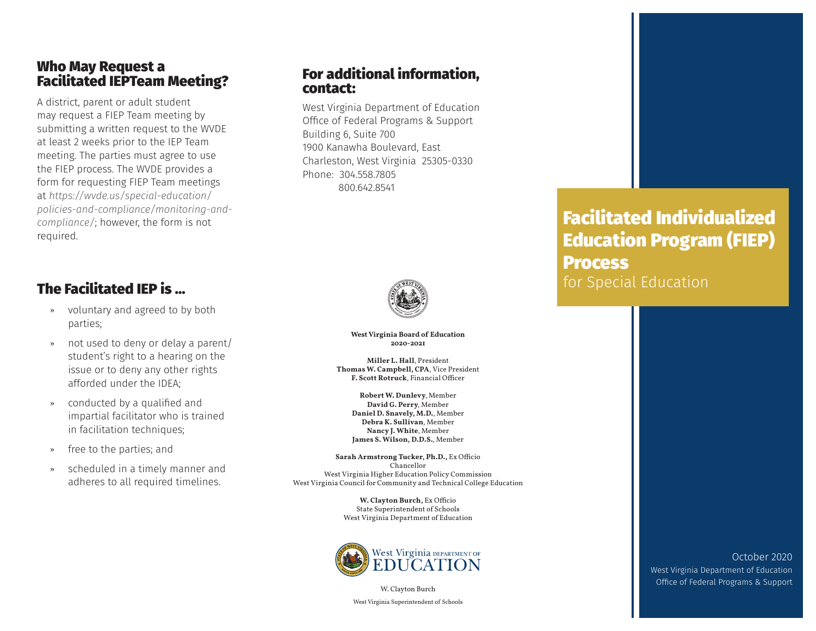#### Who May Request a Facilitated IEPTeam Meeting?

A district, parent or adult student may request a FIEP Team meeting by submitting a written request to the WVDE at least 2 weeks prior to the IEP Team meeting. The parties must agree to use the FIEP process. The WVDE provides a form for requesting FIEP Team meetings at *https://wvde.us/special-education/ policies-and-compliance/monitoring-andcompliance/*; however, the form is not required.

## The Facilitated IEP is …

- » voluntary and agreed to by both parties;
- » not used to deny or delay a parent/ student's right to a hearing on the issue or to deny any other rights afforded under the IDEA;
- » conducted by a qualified and impartial facilitator who is trained in facilitation techniques;
- » free to the parties; and
- scheduled in a timely manner and adheres to all required timelines.

#### For additional information, contact:

West Virginia Department of Education Office of Federal Programs & Support Building 6, Suite 700 1900 Kanawha Boulevard, East Charleston, West Virginia 25305-0330 Phone: 304.558.7805 800.642.8541



**West Virginia Board of Education 2020-2021**

**Miller L. Hall**, President **Thomas W. Campbell, CPA**, Vice President **F. Scott Rotruck**, Financial Officer

**Robert W. Dunlevy**, Member **David G. Perry**, Member **Daniel D. Snavely, M.D.**, Member **Debra K. Sullivan**, Member **Nancy J. White**, Member **James S. Wilson, D.D.S.**, Member

**Sarah Armstrong Tucker, Ph.D.,** Ex Officio Chancellor West Virginia Higher Education Policy Commission West Virginia Council for Community and Technical College Education

> **W. Clayton Burch,** Ex Officio State Superintendent of Schools West Virginia Department of Education



W. Clayton Burch West Virginia Superintendent of Schools

# Facilitated Individualized Education Program (FIEP) **Process** for Special Education